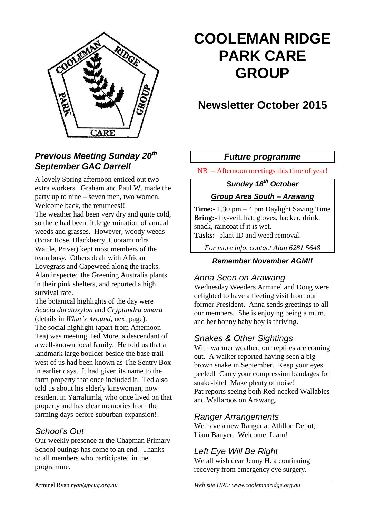

# **COOLEMAN RIDGE PARK CARE GROUP**

# **Newsletter October 2015**

## *Future programme*

NB – Afternoon meetings this time of year!

# *Sunday 18th October Group Area South – Arawang*

**Time:-** 1.30 pm – 4 pm Daylight Saving Time **Bring:-** fly-veil, hat, gloves, hacker, drink, snack, raincoat if it is wet.

**Tasks:-** plant ID and weed removal.

*For more info, contact Alan 6281 5648*

#### *Remember November AGM!!*

### *Anna Seen on Arawang*

Wednesday Weeders Arminel and Doug were delighted to have a fleeting visit from our former President. Anna sends greetings to all our members. She is enjoying being a mum, and her bonny baby boy is thriving.

# *Snakes & Other Sightings*

With warmer weather, our reptiles are coming out. A walker reported having seen a big brown snake in September. Keep your eyes peeled! Carry your compression bandages for snake-bite! Make plenty of noise! Pat reports seeing both Red-necked Wallabies and Wallaroos on Arawang.

### *Ranger Arrangements*

We have a new Ranger at Athllon Depot, Liam Banyer. Welcome, Liam!

# *Left Eye Will Be Right*

We all wish dear Jenny H. a continuing recovery from emergency eye surgery.

# *Previous Meeting Sunday 20th September GAC Darrell*

A lovely Spring afternoon enticed out two extra workers. Graham and Paul W. made the party up to nine – seven men, two women. Welcome back, the returnees!! The weather had been very dry and quite cold, so there had been little germination of annual weeds and grasses. However, woody weeds (Briar Rose, Blackberry, Cootamundra Wattle, Privet) kept most members of the team busy. Others dealt with African Lovegrass and Capeweed along the tracks. Alan inspected the Greening Australia plants in their pink shelters, and reported a high survival rate.

The botanical highlights of the day were *Acacia doratoxylon* and *Cryptandra amara* (details in *What's Around*, next page). The social highlight (apart from Afternoon Tea) was meeting Ted More, a descendant of a well-known local family. He told us that a landmark large boulder beside the base trail west of us had been known as The Sentry Box in earlier days. It had given its name to the farm property that once included it. Ted also told us about his elderly kinswoman, now resident in Yarralumla, who once lived on that property and has clear memories from the farming days before suburban expansion!!

### *School's Out*

Our weekly presence at the Chapman Primary School outings has come to an end. Thanks to all members who participated in the programme.